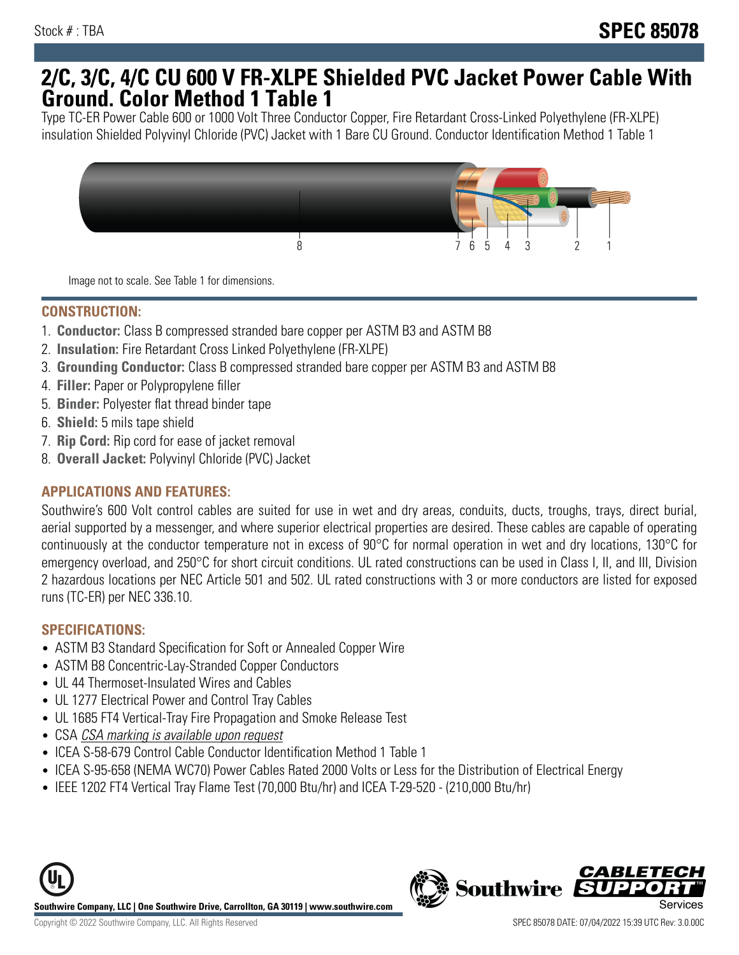## **2/C, 3/C, 4/C CU 600 V FR-XLPE Shielded PVC Jacket Power Cable With Ground. Color Method 1 Table 1**

Type TC-ER Power Cable 600 or 1000 Volt Three Conductor Copper, Fire Retardant Cross-Linked Polyethylene (FR-XLPE) insulation Shielded Polyvinyl Chloride (PVC) Jacket with 1 Bare CU Ground. Conductor Identification Method 1 Table 1



Image not to scale. See Table 1 for dimensions.

#### **CONSTRUCTION:**

- 1. **Conductor:** Class B compressed stranded bare copper per ASTM B3 and ASTM B8
- 2. **Insulation:** Fire Retardant Cross Linked Polyethylene (FR-XLPE)
- 3. **Grounding Conductor:** Class B compressed stranded bare copper per ASTM B3 and ASTM B8
- 4. **Filler:** Paper or Polypropylene filler
- 5. **Binder:** Polyester flat thread binder tape
- 6. **Shield:** 5 mils tape shield
- 7. **Rip Cord:** Rip cord for ease of jacket removal
- 8. **Overall Jacket:** Polyvinyl Chloride (PVC) Jacket

### **APPLICATIONS AND FEATURES:**

Southwire's 600 Volt control cables are suited for use in wet and dry areas, conduits, ducts, troughs, trays, direct burial, aerial supported by a messenger, and where superior electrical properties are desired. These cables are capable of operating continuously at the conductor temperature not in excess of 90°C for normal operation in wet and dry locations, 130°C for emergency overload, and 250°C for short circuit conditions. UL rated constructions can be used in Class I, II, and III, Division 2 hazardous locations per NEC Article 501 and 502. UL rated constructions with 3 or more conductors are listed for exposed runs (TC-ER) per NEC 336.10.

#### **SPECIFICATIONS:**

- ASTM B3 Standard Specification for Soft or Annealed Copper Wire
- ASTM B8 Concentric-Lay-Stranded Copper Conductors
- UL 44 Thermoset-Insulated Wires and Cables
- UL 1277 Electrical Power and Control Tray Cables
- UL 1685 FT4 Vertical-Tray Fire Propagation and Smoke Release Test
- CSA CSA marking is available upon request
- ICEA S-58-679 Control Cable Conductor Identification Method 1 Table 1
- ICEA S-95-658 (NEMA WC70) Power Cables Rated 2000 Volts or Less for the Distribution of Electrical Energy
- IEEE 1202 FT4 Vertical Tray Flame Test (70,000 Btu/hr) and ICEA T-29-520 (210,000 Btu/hr)



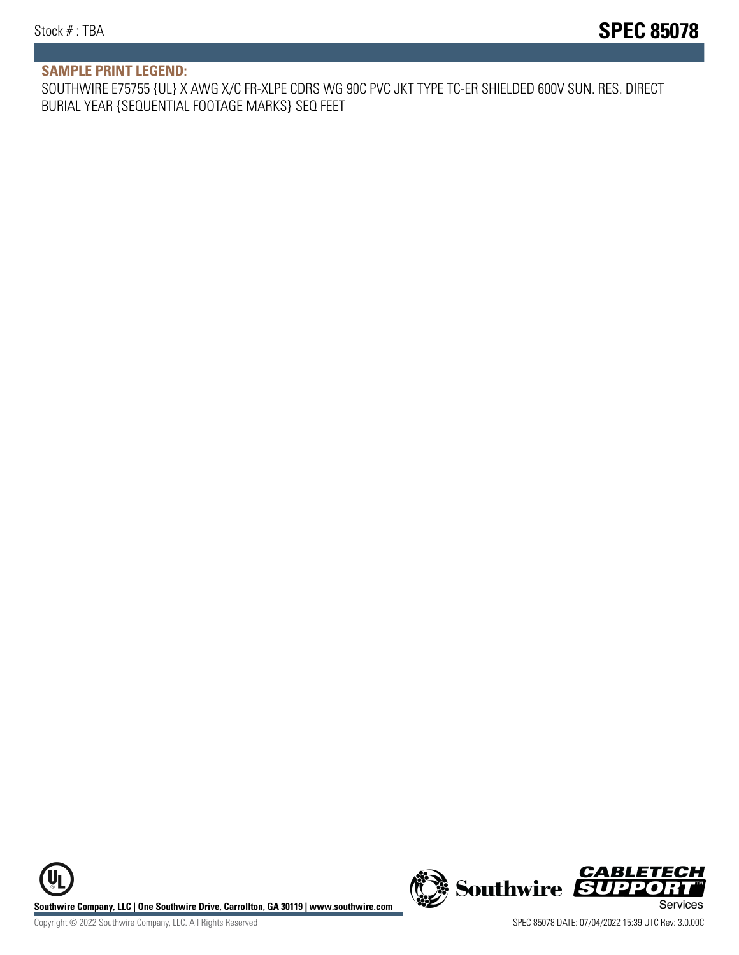#### **SAMPLE PRINT LEGEND:**

SOUTHWIRE E75755 {UL} X AWG X/C FR-XLPE CDRS WG 90C PVC JKT TYPE TC-ER SHIELDED 600V SUN. RES. DIRECT BURIAL YEAR {SEQUENTIAL FOOTAGE MARKS} SEQ FEET

**U Southwire Company, LLC | One Southwire Drive, Carrollton, GA 30119 | www.southwire.com (New Southwire SUPPORTI**